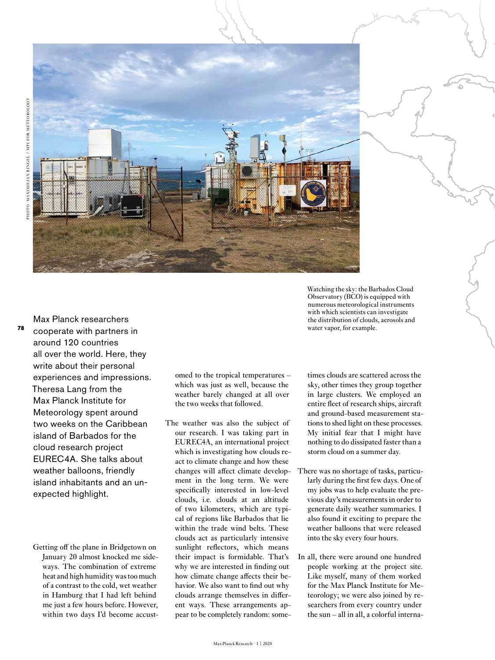

**78**

cooperate with partners in around 120 countries all over the world. Here, they write about their personal experiences and impressions. Theresa Lang from the Max Planck Institute for Meteorology spent around two weeks on the Caribbean island of Barbados for the cloud research project EUREC4A. She talks about weather balloons, friendly island inhabitants and an unexpected highlight.

Max Planck researchers

Getting off the plane in Bridgetown on January 20 almost knocked me sideways. The combination of extreme heat and high humidity was too much of a contrast to the cold, wet weather in Hamburg that I had left behind me just a few hours before. However, within two days I'd become accustomed to the tropical temperatures – which was just as well, because the weather barely changed at all over the two weeks that followed.

The weather was also the subject of our research. I was taking part in EUREC4A, an international project which is investigating how clouds react to climate change and how these changes will affect climate development in the long term. We were specifically interested in low-level clouds, i.e. clouds at an altitude of two kilometers, which are typical of regions like Barbados that lie within the trade wind belts. These clouds act as particularly intensive sunlight reflectors, which means their impact is formidable. That's why we are interested in finding out how climate change affects their behavior. We also want to find out why clouds arrange themselves in different ways. These arrangements appear to be completely random: sometimes clouds are scattered across the sky, other times they group together in large clusters. We employed an entire fleet of research ships, aircraft and ground-based measurement stations to shed light on these processes. My initial fear that I might have nothing to do dissipated faster than a storm cloud on a summer day.

Watching the sky: the Barbados Cloud Observatory (BCO) is equipped with numerous meteorological instruments with which scientists can investigate the distribution of clouds, aerosols and

water vapor, for example.

- There was no shortage of tasks, particularly during the first few days. One of my jobs was to help evaluate the previous day's measurements in order to generate daily weather summaries. I also found it exciting to prepare the weather balloons that were released into the sky every four hours.
- In all, there were around one hundred people working at the project site. Like myself, many of them worked for the Max Planck Institute for Meteorology; we were also joined by researchers from every country under the sun – all in all, a colorful interna-